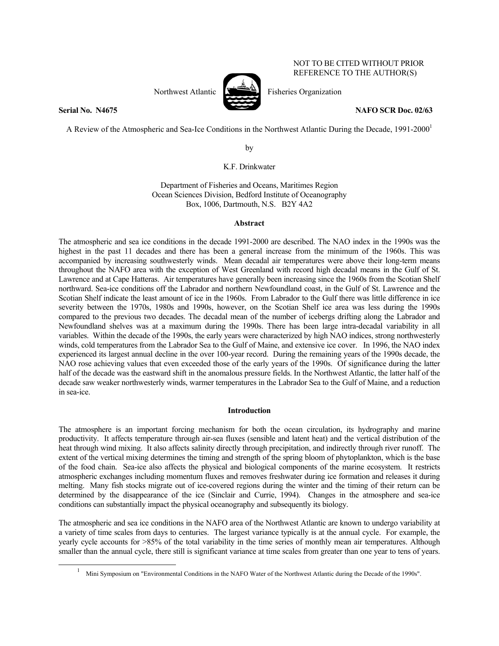Northwest Atlantic  $\sum_{n=1}^{\infty}$  Fisheries Organization



NOT TO BE CITED WITHOUT PRIOR REFERENCE TO THE AUTHOR(S)

**Serial No. 24675** NAFO SCR Doc. 02/63

A Review of the Atmospheric and Sea-Ice Conditions in the Northwest Atlantic During the Decade, 1991-2000<sup>1</sup>

by

K.F. Drinkwater

Department of Fisheries and Oceans, Maritimes Region Ocean Sciences Division, Bedford Institute of Oceanography Box, 1006, Dartmouth, N.S. B2Y 4A2

# **Abstract**

The atmospheric and sea ice conditions in the decade 1991-2000 are described. The NAO index in the 1990s was the highest in the past 11 decades and there has been a general increase from the minimum of the 1960s. This was accompanied by increasing southwesterly winds. Mean decadal air temperatures were above their long-term means throughout the NAFO area with the exception of West Greenland with record high decadal means in the Gulf of St. Lawrence and at Cape Hatteras. Air temperatures have generally been increasing since the 1960s from the Scotian Shelf northward. Sea-ice conditions off the Labrador and northern Newfoundland coast, in the Gulf of St. Lawrence and the Scotian Shelf indicate the least amount of ice in the 1960s. From Labrador to the Gulf there was little difference in ice severity between the 1970s, 1980s and 1990s, however, on the Scotian Shelf ice area was less during the 1990s compared to the previous two decades. The decadal mean of the number of icebergs drifting along the Labrador and Newfoundland shelves was at a maximum during the 1990s. There has been large intra-decadal variability in all variables. Within the decade of the 1990s, the early years were characterized by high NAO indices, strong northwesterly winds, cold temperatures from the Labrador Sea to the Gulf of Maine, and extensive ice cover. In 1996, the NAO index experienced its largest annual decline in the over 100-year record. During the remaining years of the 1990s decade, the NAO rose achieving values that even exceeded those of the early years of the 1990s. Of significance during the latter half of the decade was the eastward shift in the anomalous pressure fields. In the Northwest Atlantic, the latter half of the decade saw weaker northwesterly winds, warmer temperatures in the Labrador Sea to the Gulf of Maine, and a reduction in sea-ice.

# **Introduction**

The atmosphere is an important forcing mechanism for both the ocean circulation, its hydrography and marine productivity. It affects temperature through air-sea fluxes (sensible and latent heat) and the vertical distribution of the heat through wind mixing. It also affects salinity directly through precipitation, and indirectly through river runoff. The extent of the vertical mixing determines the timing and strength of the spring bloom of phytoplankton, which is the base of the food chain. Sea-ice also affects the physical and biological components of the marine ecosystem. It restricts atmospheric exchanges including momentum fluxes and removes freshwater during ice formation and releases it during melting. Many fish stocks migrate out of ice-covered regions during the winter and the timing of their return can be determined by the disappearance of the ice (Sinclair and Currie, 1994). Changes in the atmosphere and sea-ice conditions can substantially impact the physical oceanography and subsequently its biology.

The atmospheric and sea ice conditions in the NAFO area of the Northwest Atlantic are known to undergo variability at a variety of time scales from days to centuries. The largest variance typically is at the annual cycle. For example, the yearly cycle accounts for >85% of the total variability in the time series of monthly mean air temperatures. Although smaller than the annual cycle, there still is significant variance at time scales from greater than one year to tens of years.

 $\frac{1}{1}$ Mini Symposium on "Environmental Conditions in the NAFO Water of the Northwest Atlantic during the Decade of the 1990s".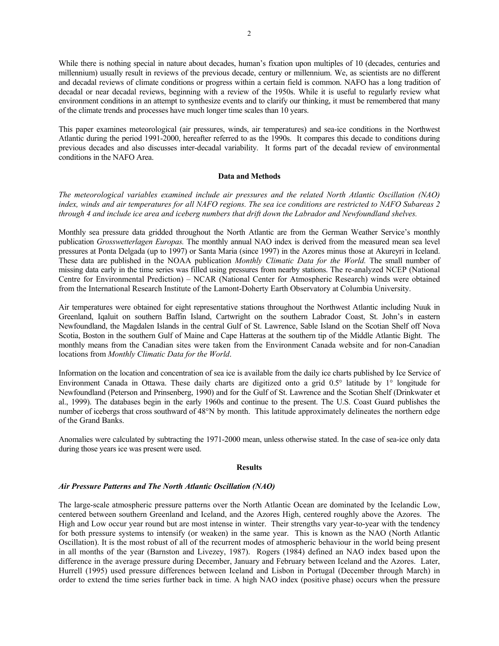While there is nothing special in nature about decades, human's fixation upon multiples of 10 (decades, centuries and millennium) usually result in reviews of the previous decade, century or millennium. We, as scientists are no different and decadal reviews of climate conditions or progress within a certain field is common. NAFO has a long tradition of decadal or near decadal reviews, beginning with a review of the 1950s. While it is useful to regularly review what environment conditions in an attempt to synthesize events and to clarify our thinking, it must be remembered that many of the climate trends and processes have much longer time scales than 10 years.

This paper examines meteorological (air pressures, winds, air temperatures) and sea-ice conditions in the Northwest Atlantic during the period 1991-2000, hereafter referred to as the 1990s. It compares this decade to conditions during previous decades and also discusses inter-decadal variability. It forms part of the decadal review of environmental conditions in the NAFO Area.

# **Data and Methods**

*The meteorological variables examined include air pressures and the related North Atlantic Oscillation (NAO) index, winds and air temperatures for all NAFO regions. The sea ice conditions are restricted to NAFO Subareas 2 through 4 and include ice area and iceberg numbers that drift down the Labrador and Newfoundland shelves.* 

Monthly sea pressure data gridded throughout the North Atlantic are from the German Weather Service's monthly publication *Grosswetterlagen Europas.* The monthly annual NAO index is derived from the measured mean sea level pressures at Ponta Delgada (up to 1997) or Santa Maria (since 1997) in the Azores minus those at Akureyri in Iceland. These data are published in the NOAA publication *Monthly Climatic Data for the World.* The small number of missing data early in the time series was filled using pressures from nearby stations. The re-analyzed NCEP (National Centre for Environmental Prediction) – NCAR (National Center for Atmospheric Research) winds were obtained from the International Research Institute of the Lamont-Doherty Earth Observatory at Columbia University.

Air temperatures were obtained for eight representative stations throughout the Northwest Atlantic including Nuuk in Greenland, Iqaluit on southern Baffin Island, Cartwright on the southern Labrador Coast, St. John's in eastern Newfoundland, the Magdalen Islands in the central Gulf of St. Lawrence, Sable Island on the Scotian Shelf off Nova Scotia, Boston in the southern Gulf of Maine and Cape Hatteras at the southern tip of the Middle Atlantic Bight. The monthly means from the Canadian sites were taken from the Environment Canada website and for non-Canadian locations from *Monthly Climatic Data for the World*.

Information on the location and concentration of sea ice is available from the daily ice charts published by Ice Service of Environment Canada in Ottawa. These daily charts are digitized onto a grid 0.5° latitude by 1° longitude for Newfoundland (Peterson and Prinsenberg, 1990) and for the Gulf of St. Lawrence and the Scotian Shelf (Drinkwater et al., 1999). The databases begin in the early 1960s and continue to the present. The U.S. Coast Guard publishes the number of icebergs that cross southward of 48°N by month. This latitude approximately delineates the northern edge of the Grand Banks.

Anomalies were calculated by subtracting the 1971-2000 mean, unless otherwise stated. In the case of sea-ice only data during those years ice was present were used.

# **Results**

## *Air Pressure Patterns and The North Atlantic Oscillation (NAO)*

The large-scale atmospheric pressure patterns over the North Atlantic Ocean are dominated by the Icelandic Low, centered between southern Greenland and Iceland, and the Azores High, centered roughly above the Azores. The High and Low occur year round but are most intense in winter. Their strengths vary year-to-year with the tendency for both pressure systems to intensify (or weaken) in the same year. This is known as the NAO (North Atlantic Oscillation). It is the most robust of all of the recurrent modes of atmospheric behaviour in the world being present in all months of the year (Barnston and Livezey, 1987). Rogers (1984) defined an NAO index based upon the difference in the average pressure during December, January and February between Iceland and the Azores. Later, Hurrell (1995) used pressure differences between Iceland and Lisbon in Portugal (December through March) in order to extend the time series further back in time. A high NAO index (positive phase) occurs when the pressure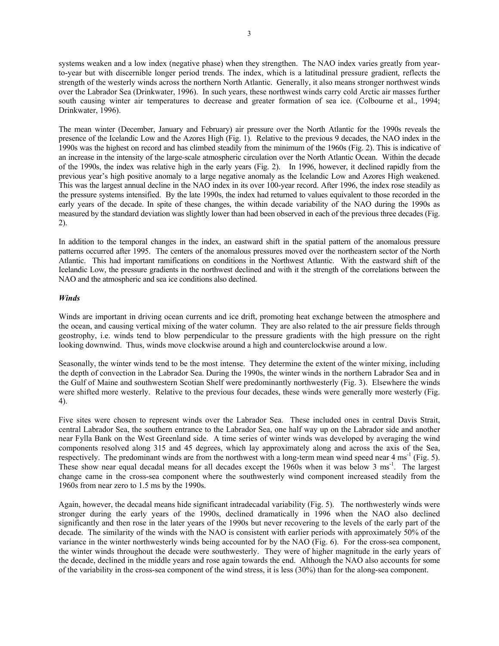systems weaken and a low index (negative phase) when they strengthen. The NAO index varies greatly from yearto-year but with discernible longer period trends. The index, which is a latitudinal pressure gradient, reflects the strength of the westerly winds across the northern North Atlantic. Generally, it also means stronger northwest winds over the Labrador Sea (Drinkwater, 1996). In such years, these northwest winds carry cold Arctic air masses further south causing winter air temperatures to decrease and greater formation of sea ice. (Colbourne et al., 1994; Drinkwater, 1996).

The mean winter (December, January and February) air pressure over the North Atlantic for the 1990s reveals the presence of the Icelandic Low and the Azores High (Fig. 1). Relative to the previous 9 decades, the NAO index in the 1990s was the highest on record and has climbed steadily from the minimum of the 1960s (Fig. 2). This is indicative of an increase in the intensity of the large-scale atmospheric circulation over the North Atlantic Ocean. Within the decade of the 1990s, the index was relative high in the early years (Fig. 2). In 1996, however, it declined rapidly from the previous year's high positive anomaly to a large negative anomaly as the Icelandic Low and Azores High weakened. This was the largest annual decline in the NAO index in its over 100-year record. After 1996, the index rose steadily as the pressure systems intensified. By the late 1990s, the index had returned to values equivalent to those recorded in the early years of the decade. In spite of these changes, the within decade variability of the NAO during the 1990s as measured by the standard deviation was slightly lower than had been observed in each of the previous three decades (Fig. 2).

In addition to the temporal changes in the index, an eastward shift in the spatial pattern of the anomalous pressure patterns occurred after 1995. The centers of the anomalous pressures moved over the northeastern sector of the North Atlantic. This had important ramifications on conditions in the Northwest Atlantic. With the eastward shift of the Icelandic Low, the pressure gradients in the northwest declined and with it the strength of the correlations between the NAO and the atmospheric and sea ice conditions also declined.

# *Winds*

Winds are important in driving ocean currents and ice drift, promoting heat exchange between the atmosphere and the ocean, and causing vertical mixing of the water column. They are also related to the air pressure fields through geostrophy, i.e. winds tend to blow perpendicular to the pressure gradients with the high pressure on the right looking downwind. Thus, winds move clockwise around a high and counterclockwise around a low.

Seasonally, the winter winds tend to be the most intense. They determine the extent of the winter mixing, including the depth of convection in the Labrador Sea. During the 1990s, the winter winds in the northern Labrador Sea and in the Gulf of Maine and southwestern Scotian Shelf were predominantly northwesterly (Fig. 3). Elsewhere the winds were shifted more westerly. Relative to the previous four decades, these winds were generally more westerly (Fig. 4).

Five sites were chosen to represent winds over the Labrador Sea. These included ones in central Davis Strait, central Labrador Sea, the southern entrance to the Labrador Sea, one half way up on the Labrador side and another near Fylla Bank on the West Greenland side. A time series of winter winds was developed by averaging the wind components resolved along 315 and 45 degrees, which lay approximately along and across the axis of the Sea, respectively. The predominant winds are from the northwest with a long-term mean wind speed near 4 ms<sup>-1</sup> (Fig. 5). These show near equal decadal means for all decades except the 1960s when it was below 3 ms<sup>-1</sup>. The largest change came in the cross-sea component where the southwesterly wind component increased steadily from the 1960s from near zero to 1.5 ms by the 1990s.

Again, however, the decadal means hide significant intradecadal variability (Fig. 5). The northwesterly winds were stronger during the early years of the 1990s, declined dramatically in 1996 when the NAO also declined significantly and then rose in the later years of the 1990s but never recovering to the levels of the early part of the decade. The similarity of the winds with the NAO is consistent with earlier periods with approximately 50% of the variance in the winter northwesterly winds being accounted for by the NAO (Fig. 6). For the cross-sea component, the winter winds throughout the decade were southwesterly. They were of higher magnitude in the early years of the decade, declined in the middle years and rose again towards the end. Although the NAO also accounts for some of the variability in the cross-sea component of the wind stress, it is less (30%) than for the along-sea component.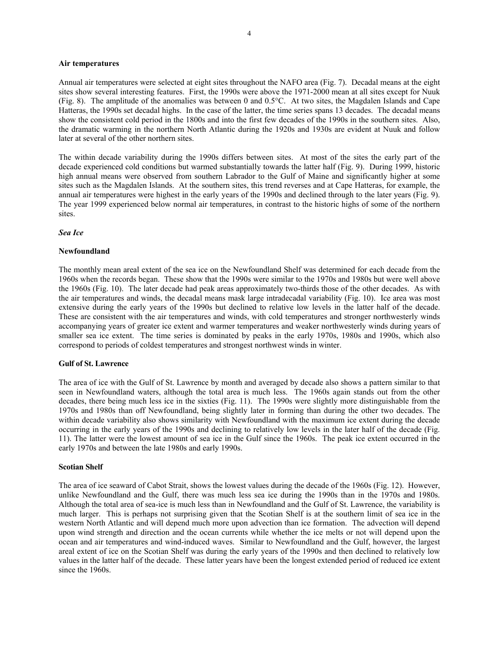## **Air temperatures**

Annual air temperatures were selected at eight sites throughout the NAFO area (Fig. 7). Decadal means at the eight sites show several interesting features. First, the 1990s were above the 1971-2000 mean at all sites except for Nuuk (Fig. 8). The amplitude of the anomalies was between 0 and 0.5°C. At two sites, the Magdalen Islands and Cape Hatteras, the 1990s set decadal highs. In the case of the latter, the time series spans 13 decades. The decadal means show the consistent cold period in the 1800s and into the first few decades of the 1990s in the southern sites. Also, the dramatic warming in the northern North Atlantic during the 1920s and 1930s are evident at Nuuk and follow later at several of the other northern sites.

The within decade variability during the 1990s differs between sites. At most of the sites the early part of the decade experienced cold conditions but warmed substantially towards the latter half (Fig. 9). During 1999, historic high annual means were observed from southern Labrador to the Gulf of Maine and significantly higher at some sites such as the Magdalen Islands. At the southern sites, this trend reverses and at Cape Hatteras, for example, the annual air temperatures were highest in the early years of the 1990s and declined through to the later years (Fig. 9). The year 1999 experienced below normal air temperatures, in contrast to the historic highs of some of the northern sites.

## *Sea Ice*

# **Newfoundland**

The monthly mean areal extent of the sea ice on the Newfoundland Shelf was determined for each decade from the 1960s when the records began. These show that the 1990s were similar to the 1970s and 1980s but were well above the 1960s (Fig. 10). The later decade had peak areas approximately two-thirds those of the other decades. As with the air temperatures and winds, the decadal means mask large intradecadal variability (Fig. 10). Ice area was most extensive during the early years of the 1990s but declined to relative low levels in the latter half of the decade. These are consistent with the air temperatures and winds, with cold temperatures and stronger northwesterly winds accompanying years of greater ice extent and warmer temperatures and weaker northwesterly winds during years of smaller sea ice extent. The time series is dominated by peaks in the early 1970s, 1980s and 1990s, which also correspond to periods of coldest temperatures and strongest northwest winds in winter.

# **Gulf of St. Lawrence**

The area of ice with the Gulf of St. Lawrence by month and averaged by decade also shows a pattern similar to that seen in Newfoundland waters, although the total area is much less. The 1960s again stands out from the other decades, there being much less ice in the sixties (Fig. 11). The 1990s were slightly more distinguishable from the 1970s and 1980s than off Newfoundland, being slightly later in forming than during the other two decades. The within decade variability also shows similarity with Newfoundland with the maximum ice extent during the decade occurring in the early years of the 1990s and declining to relatively low levels in the later half of the decade (Fig. 11). The latter were the lowest amount of sea ice in the Gulf since the 1960s. The peak ice extent occurred in the early 1970s and between the late 1980s and early 1990s.

### **Scotian Shelf**

The area of ice seaward of Cabot Strait, shows the lowest values during the decade of the 1960s (Fig. 12). However, unlike Newfoundland and the Gulf, there was much less sea ice during the 1990s than in the 1970s and 1980s. Although the total area of sea-ice is much less than in Newfoundland and the Gulf of St. Lawrence, the variability is much larger. This is perhaps not surprising given that the Scotian Shelf is at the southern limit of sea ice in the western North Atlantic and will depend much more upon advection than ice formation. The advection will depend upon wind strength and direction and the ocean currents while whether the ice melts or not will depend upon the ocean and air temperatures and wind-induced waves. Similar to Newfoundland and the Gulf, however, the largest areal extent of ice on the Scotian Shelf was during the early years of the 1990s and then declined to relatively low values in the latter half of the decade. These latter years have been the longest extended period of reduced ice extent since the 1960s.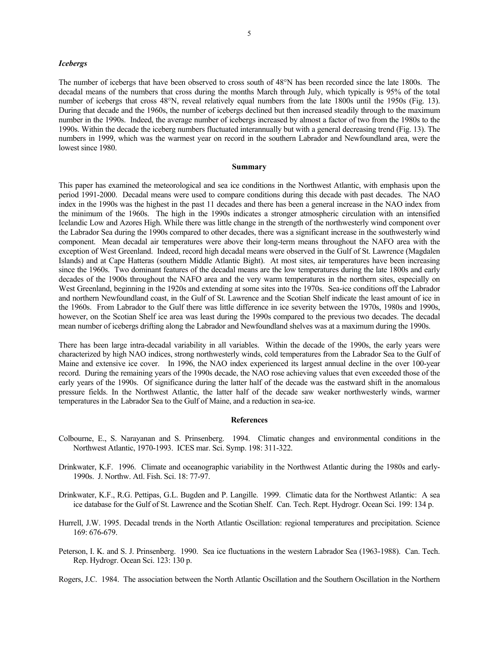#### *Icebergs*

The number of icebergs that have been observed to cross south of 48°N has been recorded since the late 1800s. The decadal means of the numbers that cross during the months March through July, which typically is 95% of the total number of icebergs that cross 48°N, reveal relatively equal numbers from the late 1800s until the 1950s (Fig. 13). During that decade and the 1960s, the number of icebergs declined but then increased steadily through to the maximum number in the 1990s. Indeed, the average number of icebergs increased by almost a factor of two from the 1980s to the 1990s. Within the decade the iceberg numbers fluctuated interannually but with a general decreasing trend (Fig. 13). The numbers in 1999, which was the warmest year on record in the southern Labrador and Newfoundland area, were the lowest since 1980.

### **Summary**

This paper has examined the meteorological and sea ice conditions in the Northwest Atlantic, with emphasis upon the period 1991-2000. Decadal means were used to compare conditions during this decade with past decades. The NAO index in the 1990s was the highest in the past 11 decades and there has been a general increase in the NAO index from the minimum of the 1960s. The high in the 1990s indicates a stronger atmospheric circulation with an intensified Icelandic Low and Azores High. While there was little change in the strength of the northwesterly wind component over the Labrador Sea during the 1990s compared to other decades, there was a significant increase in the southwesterly wind component. Mean decadal air temperatures were above their long-term means throughout the NAFO area with the exception of West Greenland. Indeed, record high decadal means were observed in the Gulf of St. Lawrence (Magdalen Islands) and at Cape Hatteras (southern Middle Atlantic Bight). At most sites, air temperatures have been increasing since the 1960s. Two dominant features of the decadal means are the low temperatures during the late 1800s and early decades of the 1900s throughout the NAFO area and the very warm temperatures in the northern sites, especially on West Greenland, beginning in the 1920s and extending at some sites into the 1970s. Sea-ice conditions off the Labrador and northern Newfoundland coast, in the Gulf of St. Lawrence and the Scotian Shelf indicate the least amount of ice in the 1960s. From Labrador to the Gulf there was little difference in ice severity between the 1970s, 1980s and 1990s, however, on the Scotian Shelf ice area was least during the 1990s compared to the previous two decades. The decadal mean number of icebergs drifting along the Labrador and Newfoundland shelves was at a maximum during the 1990s.

There has been large intra-decadal variability in all variables. Within the decade of the 1990s, the early years were characterized by high NAO indices, strong northwesterly winds, cold temperatures from the Labrador Sea to the Gulf of Maine and extensive ice cover. In 1996, the NAO index experienced its largest annual decline in the over 100-year record. During the remaining years of the 1990s decade, the NAO rose achieving values that even exceeded those of the early years of the 1990s. Of significance during the latter half of the decade was the eastward shift in the anomalous pressure fields. In the Northwest Atlantic, the latter half of the decade saw weaker northwesterly winds, warmer temperatures in the Labrador Sea to the Gulf of Maine, and a reduction in sea-ice.

### **References**

- Colbourne, E., S. Narayanan and S. Prinsenberg. 1994. Climatic changes and environmental conditions in the Northwest Atlantic, 1970-1993. ICES mar. Sci. Symp. 198: 311-322.
- Drinkwater, K.F. 1996. Climate and oceanographic variability in the Northwest Atlantic during the 1980s and early-1990s. J. Northw. Atl. Fish. Sci. 18: 77-97.
- Drinkwater, K.F., R.G. Pettipas, G.L. Bugden and P. Langille. 1999. Climatic data for the Northwest Atlantic: A sea ice database for the Gulf of St. Lawrence and the Scotian Shelf. Can. Tech. Rept. Hydrogr. Ocean Sci. 199: 134 p.
- Hurrell, J.W. 1995. Decadal trends in the North Atlantic Oscillation: regional temperatures and precipitation. Science 169: 676-679.
- Peterson, I. K. and S. J. Prinsenberg. 1990. Sea ice fluctuations in the western Labrador Sea (1963-1988). Can. Tech. Rep. Hydrogr. Ocean Sci. 123: 130 p.

Rogers, J.C. 1984. The association between the North Atlantic Oscillation and the Southern Oscillation in the Northern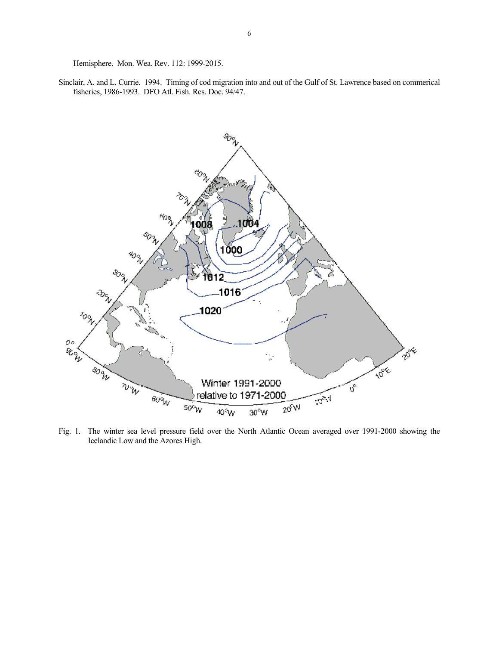Hemisphere. Mon. Wea. Rev. 112: 1999-2015.

Sinclair, A. and L. Currie. 1994. Timing of cod migration into and out of the Gulf of St. Lawrence based on commerical fisheries, 1986-1993. DFO Atl. Fish. Res. Doc. 94/47.



Fig. 1. The winter sea level pressure field over the North Atlantic Ocean averaged over 1991-2000 showing the Icelandic Low and the Azores High.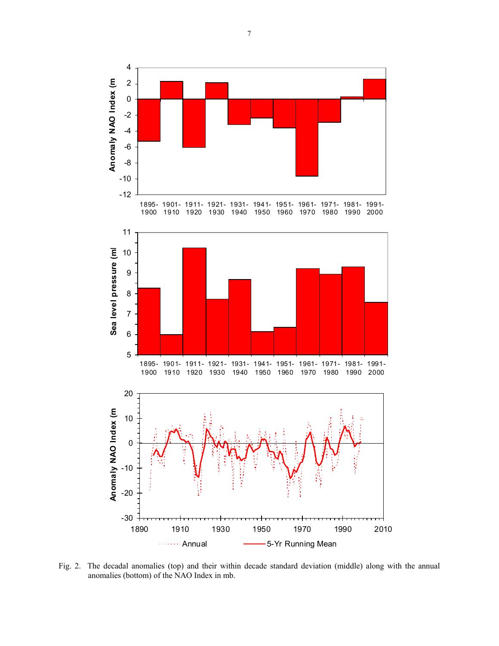

Fig. 2. The decadal anomalies (top) and their within decade standard deviation (middle) along with the annual anomalies (bottom) of the NAO Index in mb.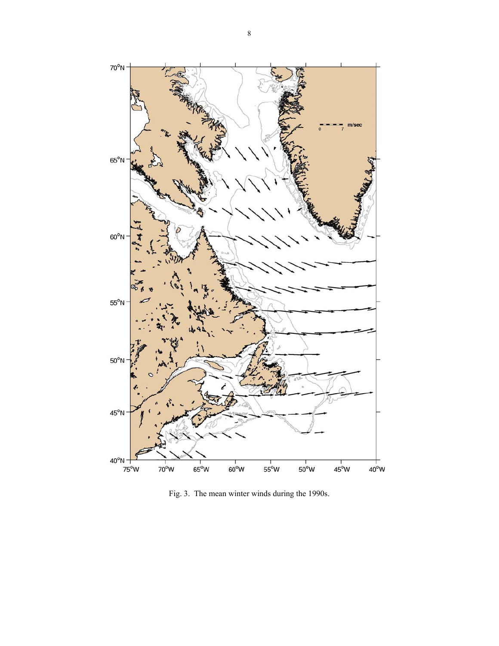

Fig. 3. The mean winter winds during the 1990s.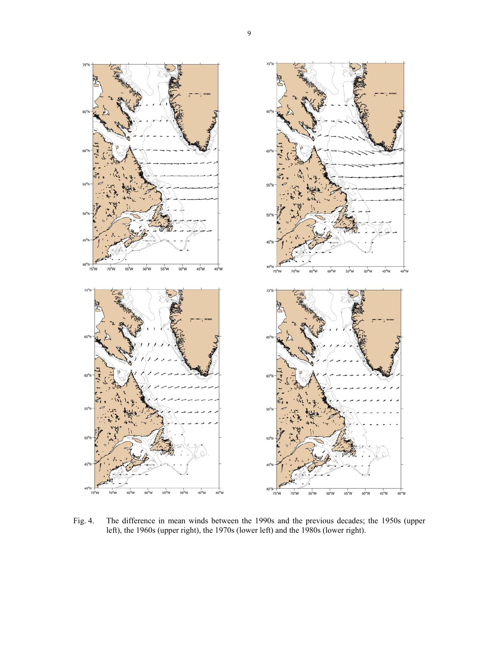

Fig. 4. The difference in mean winds between the 1990s and the previous decades; the 1950s (upper left), the 1960s (upper right), the 1970s (lower left) and the 1980s (lower right).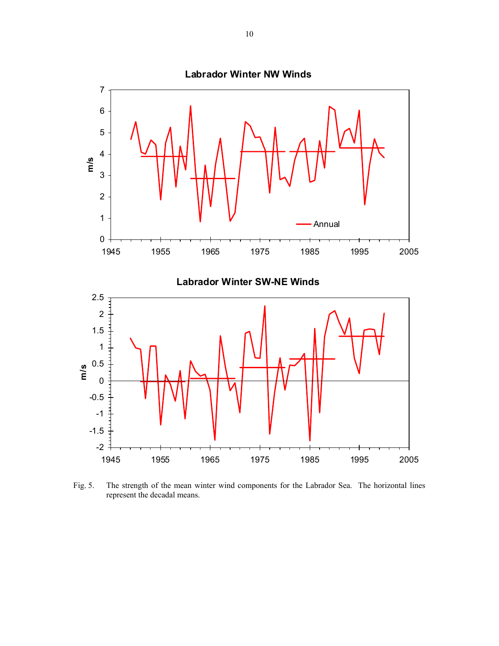

Fig. 5. The strength of the mean winter wind components for the Labrador Sea. The horizontal lines represent the decadal means.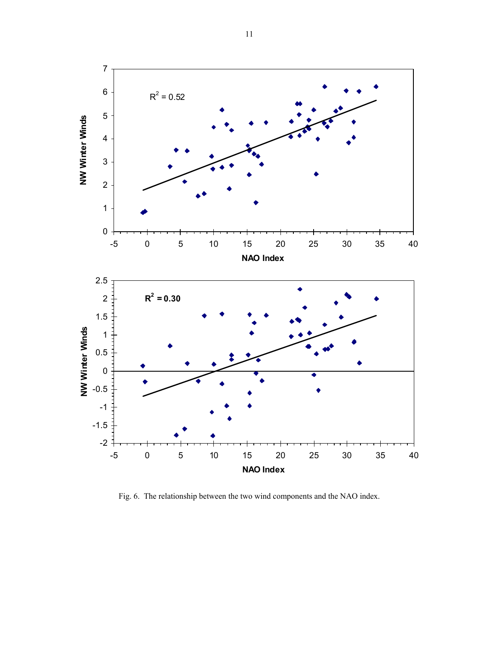

Fig. 6. The relationship between the two wind components and the NAO index.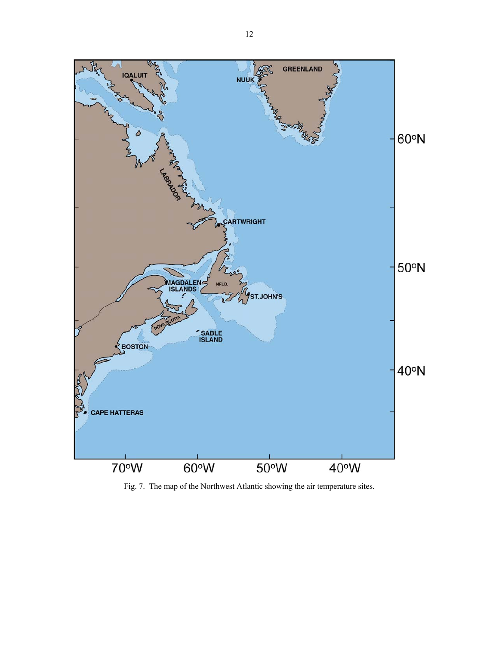

Fig. 7. The map of the Northwest Atlantic showing the air temperature sites.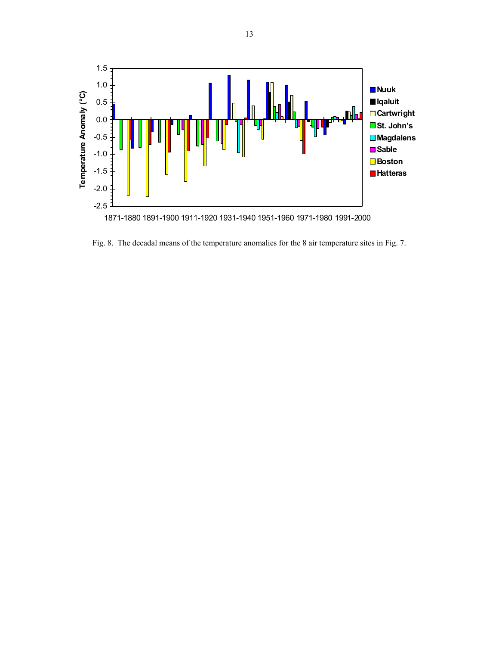

Fig. 8. The decadal means of the temperature anomalies for the 8 air temperature sites in Fig. 7.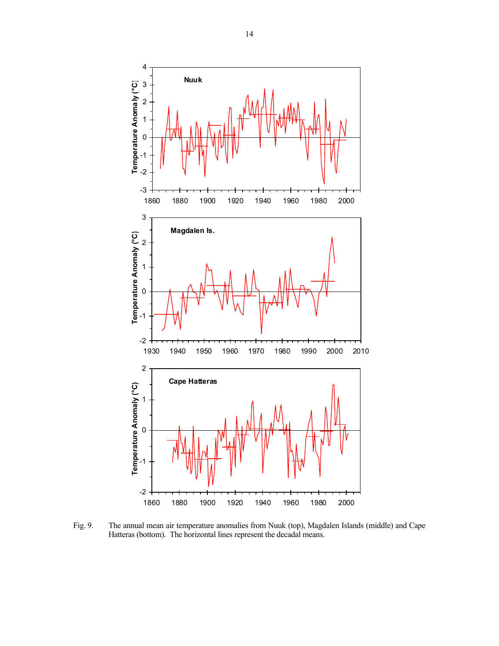

Fig. 9. The annual mean air temperature anomalies from Nuuk (top), Magdalen Islands (middle) and Cape Hatteras (bottom). The horizontal lines represent the decadal means.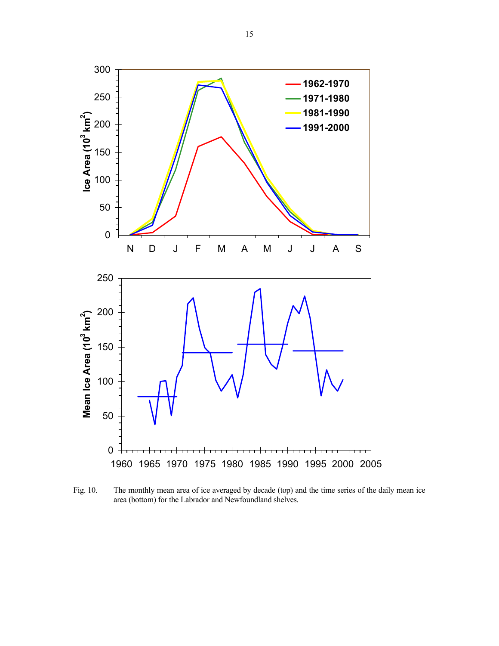

Fig. 10. The monthly mean area of ice averaged by decade (top) and the time series of the daily mean ice area (bottom) for the Labrador and Newfoundland shelves.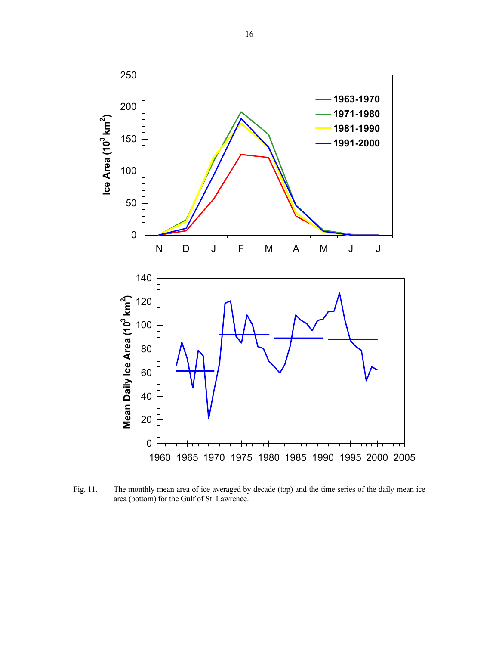

Fig. 11. The monthly mean area of ice averaged by decade (top) and the time series of the daily mean ice area (bottom) for the Gulf of St. Lawrence.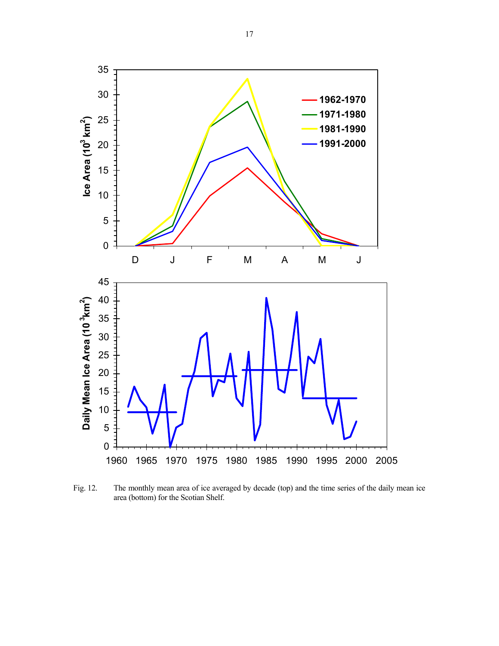

lce Area (10<sup>3</sup> km<sup>2</sup>

**)**



Fig. 12. The monthly mean area of ice averaged by decade (top) and the time series of the daily mean ice area (bottom) for the Scotian Shelf.